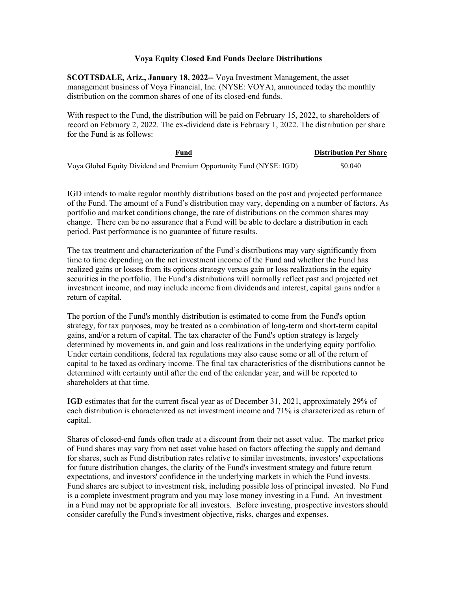## **Voya Equity Closed End Funds Declare Distributions**

**SCOTTSDALE, Ariz., January 18, 2022--** Voya Investment Management, the asset management business of Voya Financial, Inc. (NYSE: VOYA), announced today the monthly distribution on the common shares of one of its closed-end funds.

With respect to the Fund, the distribution will be paid on February 15, 2022, to shareholders of record on February 2, 2022. The ex-dividend date is February 1, 2022. The distribution per share for the Fund is as follows:

| Fund                                                                 | <b>Distribution Per Share</b> |
|----------------------------------------------------------------------|-------------------------------|
| Voya Global Equity Dividend and Premium Opportunity Fund (NYSE: IGD) | \$0.040                       |

IGD intends to make regular monthly distributions based on the past and projected performance of the Fund. The amount of a Fund's distribution may vary, depending on a number of factors. As portfolio and market conditions change, the rate of distributions on the common shares may change. There can be no assurance that a Fund will be able to declare a distribution in each period. Past performance is no guarantee of future results.

The tax treatment and characterization of the Fund's distributions may vary significantly from time to time depending on the net investment income of the Fund and whether the Fund has realized gains or losses from its options strategy versus gain or loss realizations in the equity securities in the portfolio. The Fund's distributions will normally reflect past and projected net investment income, and may include income from dividends and interest, capital gains and/or a return of capital.

The portion of the Fund's monthly distribution is estimated to come from the Fund's option strategy, for tax purposes, may be treated as a combination of long-term and short-term capital gains, and/or a return of capital. The tax character of the Fund's option strategy is largely determined by movements in, and gain and loss realizations in the underlying equity portfolio. Under certain conditions, federal tax regulations may also cause some or all of the return of capital to be taxed as ordinary income. The final tax characteristics of the distributions cannot be determined with certainty until after the end of the calendar year, and will be reported to shareholders at that time.

**IGD** estimates that for the current fiscal year as of December 31, 2021, approximately 29% of each distribution is characterized as net investment income and 71% is characterized as return of capital.

Shares of closed-end funds often trade at a discount from their net asset value. The market price of Fund shares may vary from net asset value based on factors affecting the supply and demand for shares, such as Fund distribution rates relative to similar investments, investors' expectations for future distribution changes, the clarity of the Fund's investment strategy and future return expectations, and investors' confidence in the underlying markets in which the Fund invests. Fund shares are subject to investment risk, including possible loss of principal invested. No Fund is a complete investment program and you may lose money investing in a Fund. An investment in a Fund may not be appropriate for all investors. Before investing, prospective investors should consider carefully the Fund's investment objective, risks, charges and expenses.